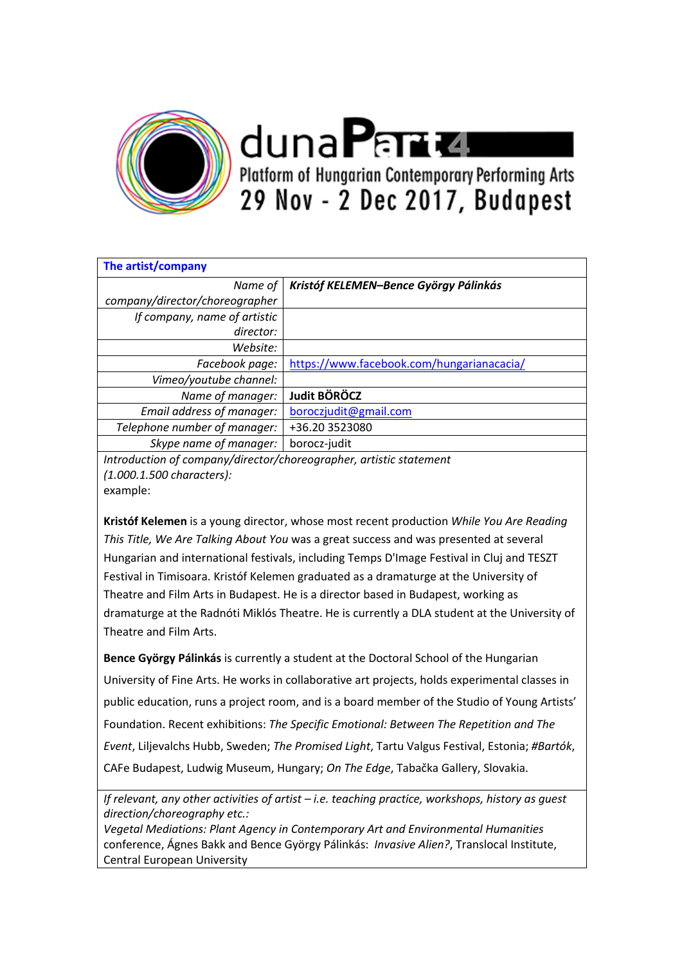

dunaPana Platform of Hungarian Contemporary Performing Arts 29 Nov - 2 Dec 2017, Budapest

| The artist/company             |                                           |
|--------------------------------|-------------------------------------------|
| Name of                        | Kristóf KELEMEN-Bence György Pálinkás     |
| company/director/choreographer |                                           |
| If company, name of artistic   |                                           |
| director:                      |                                           |
| Website:                       |                                           |
| Facebook page:                 | https://www.facebook.com/hungarianacacia/ |
| Vimeo/youtube channel:         |                                           |
| Name of manager:               | Judit BÖRÖCZ                              |
| Email address of manager:      | boroczjudit@gmail.com                     |
| Telephone number of manager:   | +36.20 3523080                            |
| Skype name of manager:         | borocz-judit                              |

*Introduction of company/director/choreographer, artistic statement (1.000.1.500 characters):*  example:

**Kristóf Kelemen** is a young director, whose most recent production *While You Are Reading This Title, We Are Talking About You* was a great success and was presented at several Hungarian and international festivals, including Temps D'Image Festival in Cluj and TESZT Festival in Timisoara. Kristóf Kelemen graduated as a dramaturge at the University of Theatre and Film Arts in Budapest. He is a director based in Budapest, working as dramaturge at the Radnóti Miklós Theatre. He is currently a DLA student at the University of Theatre and Film Arts.

**Bence György Pálinkás** is currently a student at the Doctoral School of the Hungarian University of Fine Arts. He works in collaborative art projects, holds experimental classes in public education, runs a project room, and is a board member of the Studio of Young Artists' Foundation. Recent exhibitions: *The Specific Emotional: Between The Repetition and The Event*, Liljevalchs Hubb, Sweden; *The Promised Light*, Tartu Valgus Festival, Estonia; *#Bartók*, CAFe Budapest, Ludwig Museum, Hungary; *On The Edge*, Tabačka Gallery, Slovakia.

*If relevant, any other activities of artist – i.e. teaching practice, workshops, history as guest direction/choreography etc.:* 

*Vegetal Mediations: Plant Agency in Contemporary Art and Environmental Humanities*  conference, Ágnes Bakk and Bence György Pálinkás: *Invasive Alien?*, Translocal Institute, Central European University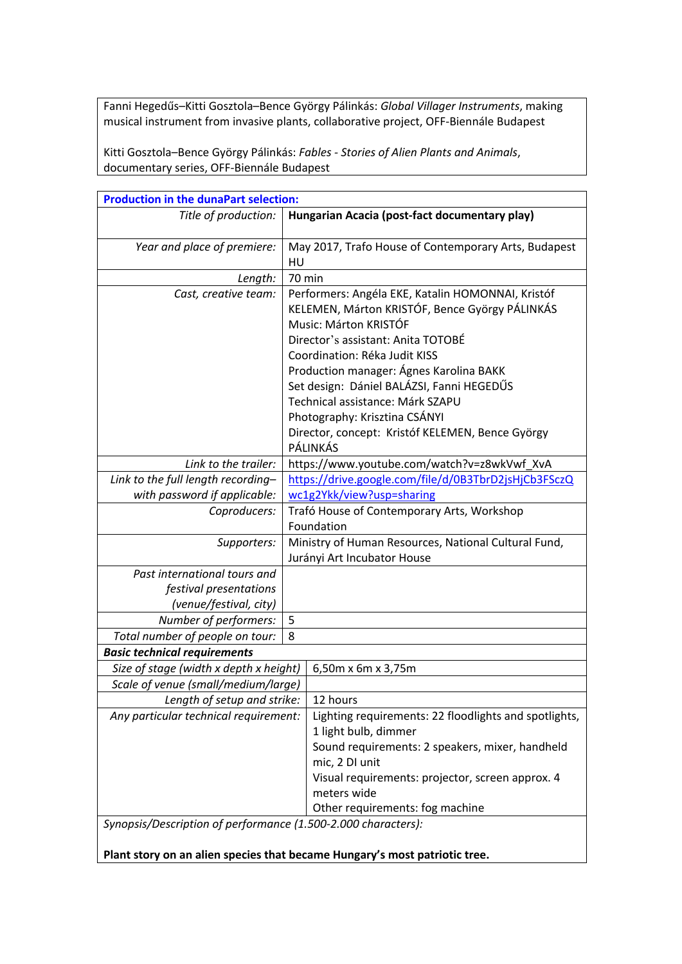Fanni Hegedűs–Kitti Gosztola–Bence György Pálinkás: *Global Villager Instruments*, making musical instrument from invasive plants, collaborative project, OFF-Biennále Budapest

Kitti Gosztola–Bence György Pálinkás: *Fables - Stories of Alien Plants and Animals*, documentary series, OFF-Biennále Budapest

| <b>Production in the dunaPart selection:</b>                                     |                                                                                                                                                                                                                                                                                                                                                                                                                                  |                                                                                                                                                              |  |  |
|----------------------------------------------------------------------------------|----------------------------------------------------------------------------------------------------------------------------------------------------------------------------------------------------------------------------------------------------------------------------------------------------------------------------------------------------------------------------------------------------------------------------------|--------------------------------------------------------------------------------------------------------------------------------------------------------------|--|--|
| Title of production:                                                             |                                                                                                                                                                                                                                                                                                                                                                                                                                  | Hungarian Acacia (post-fact documentary play)                                                                                                                |  |  |
| Year and place of premiere:                                                      | May 2017, Trafo House of Contemporary Arts, Budapest<br>HU                                                                                                                                                                                                                                                                                                                                                                       |                                                                                                                                                              |  |  |
| Length:                                                                          | 70 min                                                                                                                                                                                                                                                                                                                                                                                                                           |                                                                                                                                                              |  |  |
| Cast, creative team:                                                             | Performers: Angéla EKE, Katalin HOMONNAI, Kristóf<br>KELEMEN, Márton KRISTÓF, Bence György PÁLINKÁS<br>Music: Márton KRISTÓF<br>Director's assistant: Anita TOTOBÉ<br>Coordination: Réka Judit KISS<br>Production manager: Ágnes Karolina BAKK<br>Set design: Dániel BALÁZSI, Fanni HEGEDŰS<br>Technical assistance: Márk SZAPU<br>Photography: Krisztina CSÁNYI<br>Director, concept: Kristóf KELEMEN, Bence György<br>PÁLINKÁS |                                                                                                                                                              |  |  |
| Link to the trailer:                                                             | https://www.youtube.com/watch?v=z8wkVwf_XvA                                                                                                                                                                                                                                                                                                                                                                                      |                                                                                                                                                              |  |  |
| Link to the full length recording-                                               | https://drive.google.com/file/d/0B3TbrD2jsHjCb3FSczQ                                                                                                                                                                                                                                                                                                                                                                             |                                                                                                                                                              |  |  |
| with password if applicable:                                                     | wc1g2Ykk/view?usp=sharing                                                                                                                                                                                                                                                                                                                                                                                                        |                                                                                                                                                              |  |  |
| Coproducers:                                                                     | Trafó House of Contemporary Arts, Workshop<br>Foundation                                                                                                                                                                                                                                                                                                                                                                         |                                                                                                                                                              |  |  |
| Supporters:                                                                      | Ministry of Human Resources, National Cultural Fund,<br>Jurányi Art Incubator House                                                                                                                                                                                                                                                                                                                                              |                                                                                                                                                              |  |  |
| Past international tours and<br>festival presentations<br>(venue/festival, city) |                                                                                                                                                                                                                                                                                                                                                                                                                                  |                                                                                                                                                              |  |  |
| Number of performers:                                                            |                                                                                                                                                                                                                                                                                                                                                                                                                                  |                                                                                                                                                              |  |  |
| Total number of people on tour:                                                  |                                                                                                                                                                                                                                                                                                                                                                                                                                  |                                                                                                                                                              |  |  |
| <b>Basic technical requirements</b>                                              |                                                                                                                                                                                                                                                                                                                                                                                                                                  |                                                                                                                                                              |  |  |
| Size of stage (width x depth x height)                                           | 6,50m x 6m x 3,75m                                                                                                                                                                                                                                                                                                                                                                                                               |                                                                                                                                                              |  |  |
| Scale of venue (small/medium/large)                                              |                                                                                                                                                                                                                                                                                                                                                                                                                                  |                                                                                                                                                              |  |  |
| Length of setup and strike:                                                      | 12 hours                                                                                                                                                                                                                                                                                                                                                                                                                         |                                                                                                                                                              |  |  |
| Any particular technical requirement:                                            | 1 light bulb, dimmer<br>mic, 2 DI unit<br>meters wide                                                                                                                                                                                                                                                                                                                                                                            | Lighting requirements: 22 floodlights and spotlights,<br>Sound requirements: 2 speakers, mixer, handheld<br>Visual requirements: projector, screen approx. 4 |  |  |
|                                                                                  |                                                                                                                                                                                                                                                                                                                                                                                                                                  | Other requirements: fog machine                                                                                                                              |  |  |
| Synopsis/Description of performance (1.500-2.000 characters):                    |                                                                                                                                                                                                                                                                                                                                                                                                                                  |                                                                                                                                                              |  |  |

**Plant story on an alien species that became Hungary's most patriotic tree.**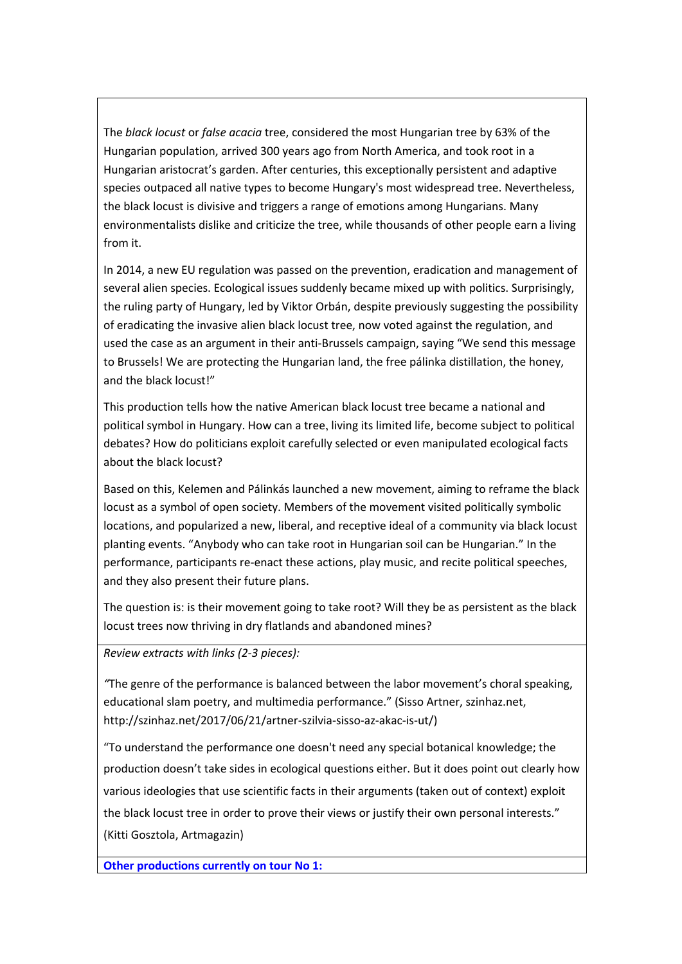The *black locust* or *false acacia* tree, considered the most Hungarian tree by 63% of the Hungarian population, arrived 300 years ago from North America, and took root in a Hungarian aristocrat's garden. After centuries, this exceptionally persistent and adaptive species outpaced all native types to become Hungary's most widespread tree. Nevertheless, the black locust is divisive and triggers a range of emotions among Hungarians. Many environmentalists dislike and criticize the tree, while thousands of other people earn a living from it.

In 2014, a new EU regulation was passed on the prevention, eradication and management of several alien species. Ecological issues suddenly became mixed up with politics. Surprisingly, the ruling party of Hungary, led by Viktor Orbán, despite previously suggesting the possibility of eradicating the invasive alien black locust tree, now voted against the regulation, and used the case as an argument in their anti-Brussels campaign, saying "We send this message to Brussels! We are protecting the Hungarian land, the free pálinka distillation, the honey, and the black locust!"

This production tells how the native American black locust tree became a national and political symbol in Hungary. How can a tree, living its limited life, become subject to political debates? How do politicians exploit carefully selected or even manipulated ecological facts about the black locust?

Based on this, Kelemen and Pálinkás launched a new movement, aiming to reframe the black locust as a symbol of open society. Members of the movement visited politically symbolic locations, and popularized a new, liberal, and receptive ideal of a community via black locust planting events. "Anybody who can take root in Hungarian soil can be Hungarian." In the performance, participants re-enact these actions, play music, and recite political speeches, and they also present their future plans.

The question is: is their movement going to take root? Will they be as persistent as the black locust trees now thriving in dry flatlands and abandoned mines?

*Review extracts with links (2-3 pieces):* 

*"*The genre of the performance is balanced between the labor movement's choral speaking, educational slam poetry, and multimedia performance." (Sisso Artner, szinhaz.net, http://szinhaz.net/2017/06/21/artner-szilvia-sisso-az-akac-is-ut/)

"To understand the performance one doesn't need any special botanical knowledge; the production doesn't take sides in ecological questions either. But it does point out clearly how various ideologies that use scientific facts in their arguments (taken out of context) exploit the black locust tree in order to prove their views or justify their own personal interests." (Kitti Gosztola, Artmagazin)

**Other productions currently on tour No 1:**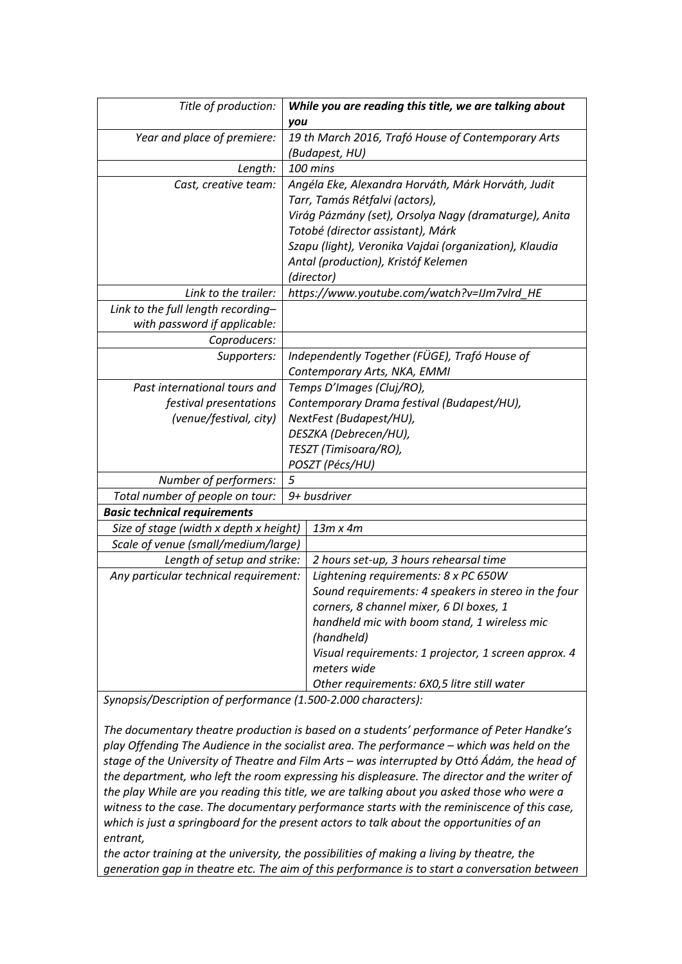| Title of production:                   | While you are reading this title, we are talking about<br>you        |  |  |  |
|----------------------------------------|----------------------------------------------------------------------|--|--|--|
| Year and place of premiere:            | 19 th March 2016, Trafó House of Contemporary Arts<br>(Budapest, HU) |  |  |  |
| Length:                                | 100 mins                                                             |  |  |  |
| Cast, creative team:                   | Angéla Eke, Alexandra Horváth, Márk Horváth, Judit                   |  |  |  |
|                                        | Tarr, Tamás Rétfalvi (actors),                                       |  |  |  |
|                                        | Virág Pázmány (set), Orsolya Nagy (dramaturge), Anita                |  |  |  |
|                                        | Totobé (director assistant), Márk                                    |  |  |  |
|                                        | Szapu (light), Veronika Vajdai (organization), Klaudia               |  |  |  |
|                                        | Antal (production), Kristóf Kelemen                                  |  |  |  |
|                                        | (director)                                                           |  |  |  |
| Link to the trailer:                   | https://www.youtube.com/watch?v=IJm7vlrd_HE                          |  |  |  |
| Link to the full length recording-     |                                                                      |  |  |  |
| with password if applicable:           |                                                                      |  |  |  |
| Coproducers:                           |                                                                      |  |  |  |
| Supporters:                            | Independently Together (FÜGE), Trafó House of                        |  |  |  |
|                                        | Contemporary Arts, NKA, EMMI                                         |  |  |  |
| Past international tours and           | Temps D'Images (Cluj/RO),                                            |  |  |  |
| festival presentations                 | Contemporary Drama festival (Budapest/HU),                           |  |  |  |
| (venue/festival, city)                 | NextFest (Budapest/HU),                                              |  |  |  |
|                                        | DESZKA (Debrecen/HU),                                                |  |  |  |
|                                        | TESZT (Timisoara/RO),                                                |  |  |  |
|                                        | POSZT (Pécs/HU)                                                      |  |  |  |
| Number of performers:                  | 5                                                                    |  |  |  |
| Total number of people on tour:        | 9+ busdriver                                                         |  |  |  |
| <b>Basic technical requirements</b>    |                                                                      |  |  |  |
| Size of stage (width x depth x height) | $13m \times 4m$                                                      |  |  |  |
| Scale of venue (small/medium/large)    |                                                                      |  |  |  |
| Length of setup and strike:            | 2 hours set-up, 3 hours rehearsal time                               |  |  |  |
| Any particular technical requirement:  | Lightening requirements: 8 x PC 650W                                 |  |  |  |
|                                        | Sound requirements: 4 speakers in stereo in the four                 |  |  |  |
|                                        | corners, 8 channel mixer, 6 DI boxes, 1                              |  |  |  |
|                                        | handheld mic with boom stand, 1 wireless mic                         |  |  |  |
|                                        | (handheld)                                                           |  |  |  |
|                                        | Visual requirements: 1 projector, 1 screen approx. 4                 |  |  |  |
|                                        | meters wide                                                          |  |  |  |
|                                        | Other requirements: 6X0,5 litre still water                          |  |  |  |

*Synopsis/Description of performance (1.500-2.000 characters):*

*The documentary theatre production is based on a students' performance of Peter Handke's play Offending The Audience in the socialist area. The performance – which was held on the stage of the University of Theatre and Film Arts – was interrupted by Ottó Ádám, the head of the department, who left the room expressing his displeasure. The director and the writer of the play While are you reading this title, we are talking about you asked those who were a witness to the case. The documentary performance starts with the reminiscence of this case, which is just a springboard for the present actors to talk about the opportunities of an entrant,*

*the actor training at the university, the possibilities of making a living by theatre, the generation gap in theatre etc. The aim of this performance is to start a conversation between*